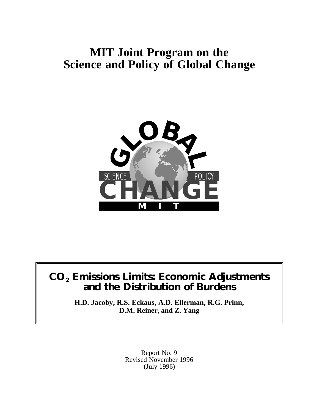# **MIT Joint Program on the Science and Policy of Global Change**



# **CO2 Emissions Limits: Economic Adjustments and the Distribution of Burdens**

**H.D. Jacoby, R.S. Eckaus, A.D. Ellerman, R.G. Prinn, D.M. Reiner, and Z. Yang**

> Report No. 9 Revised November 1996 (July 1996)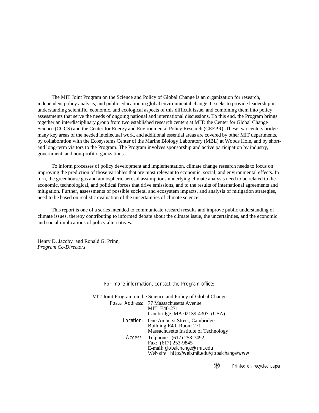The MIT Joint Program on the Science and Policy of Global Change is an organization for research, independent policy analysis, and public education in global environmental change. It seeks to provide leadership in understanding scientific, economic, and ecological aspects of this difficult issue, and combining them into policy assessments that serve the needs of ongoing national and international discussions. To this end, the Program brings together an interdisciplinary group from two established research centers at MIT: the Center for Global Change Science (CGCS) and the Center for Energy and Environmental Policy Research (CEEPR). These two centers bridge many key areas of the needed intellectual work, and additional essential areas are covered by other MIT departments, by collaboration with the Ecosystems Center of the Marine Biology Laboratory (MBL) at Woods Hole, and by shortand long-term visitors to the Program. The Program involves sponsorship and active participation by industry, government, and non-profit organizations.

To inform processes of policy development and implementation, climate change research needs to focus on improving the prediction of those variables that are most relevant to economic, social, and environmental effects. In turn, the greenhouse gas and atmospheric aerosol assumptions underlying climate analysis need to be related to the economic, technological, and political forces that drive emissions, and to the results of international agreements and mitigation. Further, assessments of possible societal and ecosystem impacts, and analysis of mitigation strategies, need to be based on realistic evaluation of the uncertainties of climate science.

This report is one of a series intended to communicate research results and improve public understanding of climate issues, thereby contributing to informed debate about the climate issue, the uncertainties, and the economic and social implications of policy alternatives.

Henry D. Jacoby and Ronald G. Prinn, *Program Co-Directors*

For more information, contact the Program office:

MIT Joint Program on the Science and Policy of Global Change Postal Address: 77 Massachusetts Avenue MIT E40-271 Cambridge, MA 02139-4307 (USA) Location: One Amherst Street, Cambridge Building E40, Room 271 Massachusetts Institute of Technology Access: Telphone: (617) 253-7492 Fax: (617) 253-9845 E-mail: globalchange@mit.edu Web site: http://web.mit.edu/globalchange/www

*Printed on recycled paper*

₩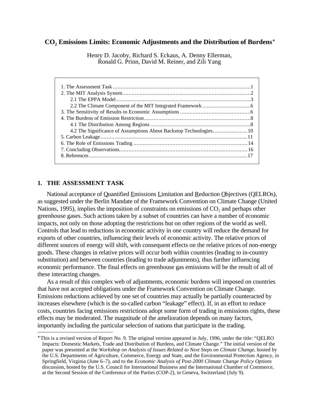# **CO2 Emissions Limits: Economic Adjustments and the Distribution of Burdens**<sup>∗</sup>

Henry D. Jacoby, Richard S. Eckaus, A. Denny Ellerman, Ronald G. Prinn, David M. Reiner, and Zili Yang

# **1. THE ASSESSMENT TASK**

 $\overline{a}$ 

National acceptance of Quantified Emissions Limitation and Reduction Objectives (OELROs), as suggested under the Berlin Mandate of the Framework Convention on Climate Change (United Nations, 1995), implies the imposition of constraints on emissions of  $CO<sub>2</sub>$  and perhaps other greenhouse gases. Such actions taken by a subset of countries can have a number of economic impacts, not only on those adopting the restrictions but on other regions of the world as well. Controls that lead to reductions in economic activity in one country will reduce the demand for exports of other countries, influencing their levels of economic activity. The relative prices of different sources of energy will shift, with consequent effects on the relative prices of non-energy goods. These changes in relative prices will occur both within countries (leading to in-country substitution) and between countries (leading to trade adjustments), thus further influencing economic performance. The final effects on greenhouse gas emissions will be the result of all of these interacting changes.

As a result of this complex web of adjustments, economic burdens will imposed on countries that have not accepted obligations under the Framework Convention on Climate Change. Emissions reductions achieved by one set of countries may actually be partially counteracted by increases elsewhere (which is the so-called carbon "leakage" effect). If, in an effort to reduce costs, countries facing emissions restrictions adopt some form of trading in emissions rights, these effects may be moderated. The magnitude of the amelioration depends on many factors, importantly including the particular selection of nations that participate in the trading.

<sup>∗</sup> This is a revised version of Report No. 9. The original version appeared in July, 1996, under the title: "QELRO Impacts: Domestic Markets, Trade and Distribution of Burdens, and Climate Change." The initial version of the paper was presented at the *Workshop on Analysis of Issues Related to Next Steps on Climate Change*, hosted by the U.S. Departments of Agriculture, Commerce, Energy and State, and the Environmental Protection Agency, in Springfield, Virginia (June 6–7), and to the *Economic Analysis of Post-2000 Climate Change Policy Options* discussion, hosted by the U.S. Council for International Business and the International Chamber of Commerce, at the Second Session of the Conference of the Parties (COP-2), in Geneva, Switzerland (July 9).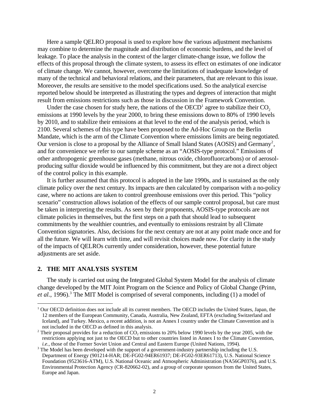Here a sample QELRO proposal is used to explore how the various adjustment mechanisms may combine to determine the magnitude and distribution of economic burdens, and the level of leakage. To place the analysis in the context of the larger climate-change issue, we follow the effects of this proposal through the climate system, to assess its effect on estimates of one indicator of climate change. We cannot, however, overcome the limitations of inadequate knowledge of many of the technical and behavioral relations, and their parameters, that are relevant to this issue. Moreover, the results are sensitive to the model specifications used. So the analytical exercise reported below should be interpreted as illustrating the types and degrees of interaction that might result from emissions restrictions such as those in discussion in the Framework Convention.

Under the case chosen for study here, the nations of the OECD<sup>1</sup> agree to stabilize their  $CO_2$ emissions at 1990 levels by the year 2000, to bring these emissions down to 80% of 1990 levels by 2010, and to stabilize their emissions at that level to the end of the analysis period, which is 2100. Several schemes of this type have been proposed to the Ad-Hoc Group on the Berlin Mandate, which is the arm of the Climate Convention where emissions limits are being negotiated. Our version is close to a proposal by the Alliance of Small Island States (AOSIS) and Germany<sup>2</sup>, and for convenience we refer to our sample scheme as an "AOSIS-type protocol." Emissions of other anthropogenic greenhouse gases (methane, nitrous oxide, chlorofluorcarbons) or of aerosolproducing sulfur dioxide would be influenced by this commitment, but they are not a direct object of the control policy in this example.

It is further assumed that this protocol is adopted in the late 1990s, and is sustained as the only climate policy over the next century. Its impacts are then calculated by comparison with a no-policy case, where no actions are taken to control greenhouse emissions over this period. This "policy scenario" construction allows isolation of the effects of our sample control proposal, but care must be taken in interpreting the results. As seen by their proponents, AOSIS-type protocols are not climate policies in themselves, but the first steps on a path that should lead to subsequent commitments by the wealthier countries, and eventually to emissions restraint by all Climate Convention signatories. Also, decisions for the next century are not at any point made once and for all the future. We will learn with time, and will revisit choices made now. For clarity in the study of the impacts of QELROs currently under consideration, however, these potential future adjustments are set aside.

## **2. THE MIT ANALYSIS SYSTEM**

 $\overline{a}$ 

The study is carried out using the Integrated Global System Model for the analysis of climate change developed by the MIT Joint Program on the Science and Policy of Global Change (Prinn, et al., 1996).<sup>3</sup> The MIT Model is comprised of several components, including (1) a model of

<sup>&</sup>lt;sup>1</sup> Our OECD definition does not include all its current members. The OECD includes the United States, Japan, the 12 members of the European Community, Canada, Australia, New Zealand, EFTA (excluding Switzerland and Iceland), and Turkey. Mexico, a recent addition, is not an Annex I country under the Climate Convention and is not included in the OECD as defined in this analysis.

<sup>&</sup>lt;sup>2</sup> Their proposal provides for a reduction of  $CO_2$  emissions to 20% below 1990 levels by the year 2005, with the restrictions applying not just to the OECD but to other countries listed in Annex I to the Climate Convention, *i.e.*, those of the Former Soviet Union and Central and Eastern Europe (United Nations, 1994).

 $3$  The Model has been developed with the support of a government-industry partnership including the U.S. Department of Energy (901214-HAR; DE-FG02-94ER61937; DE-FG02-93ER61713), U.S. National Science Foundation (9523616-ATM), U.S. National Oceanic and Atmospheric Administration (NA56GP0376), and U.S. Environmental Protection Agency (CR-820662-02), and a group of corporate sponsors from the United States, Europe and Japan.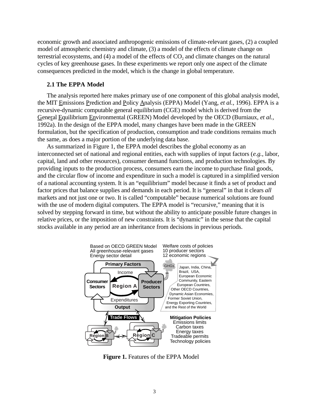economic growth and associated anthropogenic emissions of climate-relevant gases, (2) a coupled model of atmospheric chemistry and climate, (3) a model of the effects of climate change on terrestrial ecosystems, and  $(4)$  a model of the effects of  $CO<sub>2</sub>$  and climate changes on the natural cycles of key greenhouse gases. In these experiments we report only one aspect of the climate consequences predicted in the model, which is the change in global temperature.

# **2.1 The EPPA Model**

The analysis reported here makes primary use of one component of this global analysis model, the MIT Emissions Prediction and Policy Analysis (EPPA) Model (Yang, *et al.*, 1996). EPPA is a recursive-dynamic computable general equilibrium (CGE) model which is derived from the General Equilibrium Environmental (GREEN) Model developed by the OECD (Burniaux, *et al.*, 1992a). In the design of the EPPA model, many changes have been made in the GREEN formulation, but the specification of production, consumption and trade conditions remains much the same, as does a major portion of the underlying data base.

As summarized in Figure 1, the EPPA model describes the global economy as an interconnected set of national and regional entities, each with supplies of input factors (*e.g.*, labor, capital, land and other resources), consumer demand functions, and production technologies. By providing inputs to the production process, consumers earn the income to purchase final goods, and the circular flow of income and expenditure in such a model is captured in a simplified version of a national accounting system. It is an "equilibrium" model because it finds a set of product and factor prices that balance supplies and demands in each period. It is "general" in that it clears *all* markets and not just one or two. It is called "computable" because numerical solutions are found with the use of modern digital computers. The EPPA model is "recursive," meaning that it is solved by stepping forward in time, but without the ability to anticipate possible future changes in relative prices, or the imposition of new constraints. It is "dynamic" in the sense that the capital stocks available in any period are an inheritance from decisions in previous periods.



**Figure 1.** Features of the EPPA Model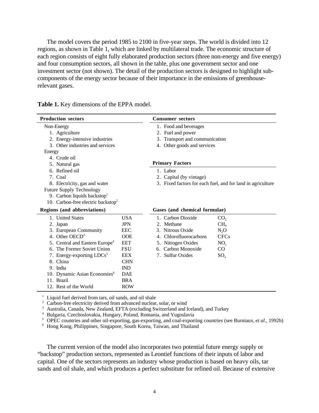The model covers the period 1985 to 2100 in five-year steps. The world is divided into 12 regions, as shown in Table 1, which are linked by multilateral trade. The economic structure of each region consists of eight fully elaborated production sectors (three non-energy and five energy) and four consumption sectors, all shown in the table, plus one government sector and one investment sector (not shown). The detail of the production sectors is designed to highlight subcomponents of the energy sector because of their importance in the emissions of greenhouserelevant gases.

| <b>Production sectors</b>                      |                          | <b>Consumer sectors</b>        |                                                             |  |
|------------------------------------------------|--------------------------|--------------------------------|-------------------------------------------------------------|--|
| Non-Energy                                     |                          | 1. Food and beverages          |                                                             |  |
| 1. Agriculture                                 |                          | 2. Fuel and power              |                                                             |  |
| 2. Energy-intensive industries                 |                          | 3. Transport and communication |                                                             |  |
| 3. Other industries and services               |                          | 4. Other goods and services    |                                                             |  |
| Energy                                         |                          |                                |                                                             |  |
| 4. Crude oil                                   |                          |                                |                                                             |  |
| 5. Natural gas                                 |                          | <b>Primary Factors</b>         |                                                             |  |
| 6. Refined oil                                 |                          | 1. Labor                       |                                                             |  |
| 7. Coal                                        |                          | 2. Capital (by vintage)        |                                                             |  |
| 8. Electricity, gas and water                  |                          |                                | 3. Fixed factors for each fuel, and for land in agriculture |  |
| <b>Future Supply Technology</b>                |                          |                                |                                                             |  |
| 9. Carbon liquids backstop                     |                          |                                |                                                             |  |
| 10. Carbon-free electric backstop <sup>2</sup> |                          |                                |                                                             |  |
| Regions (and abbreviations)                    |                          | Gases (and chemical formulae)  |                                                             |  |
| 1. United States                               | <b>USA</b>               | 1. Carbon Dioxide              | CO <sub>2</sub>                                             |  |
| 2. Japan                                       | <b>JPN</b>               | 2. Methane                     | CH <sub>4</sub>                                             |  |
| 3. European Community                          | <b>EEC</b>               | 3. Nitrous Oxide               |                                                             |  |
|                                                |                          |                                | N <sub>2</sub> O                                            |  |
| 4. Other OECD <sup>3</sup>                     | <b>OOE</b>               | 4. Chlorofluorocarbons         | <b>CFCs</b>                                                 |  |
| 5. Central and Eastern Europe <sup>4</sup>     | <b>EET</b>               | 5. Nitrogen Oxides             | NO <sub>x</sub>                                             |  |
| 6. The Former Soviet Union                     | <b>FSU</b>               | 6. Carbon Monoxide             | $\rm CO$                                                    |  |
| 7. Energy-exporting $LDCs5$                    | <b>EEX</b>               | 7. Sulfur Oxides               | $SO_{x}$                                                    |  |
| 8. China                                       | <b>CHN</b>               |                                |                                                             |  |
| 9. India                                       | <b>IND</b>               |                                |                                                             |  |
| 10. Dynamic Asian Economies <sup>6</sup>       | <b>DAE</b>               |                                |                                                             |  |
| 11. Brazil<br>12. Rest of the World            | <b>BRA</b><br><b>ROW</b> |                                |                                                             |  |

**Table 1.** Key dimensions of the EPPA model.

 $1$  Liquid fuel derived from tars, oil sands, and oil shale

<sup>2</sup> Carbon-free electricity derived from advanced nuclear, solar, or wind

<sup>3</sup> Australia, Canada, New Zealand, EFTA (excluding Switzerland and Iceland), and Turkey

<sup>4</sup> Bulgaria, Czechoslovakia, Hungary, Poland, Romania, and Yugoslavia

<sup>5</sup> OPEC countries and other oil-exporting, gas-exporting, and coal-exporting countries (see Burniaux, *et al.*, 1992b)

<sup>6</sup> Hong Kong, Philippines, Singapore, South Korea, Taiwan, and Thailand

The current version of the model also incorporates two potential future energy supply or "backstop" production sectors, represented as Leontief functions of their inputs of labor and capital. One of the sectors represents an industry whose production is based on heavy oils, tar sands and oil shale, and which produces a perfect substitute for refined oil. Because of extensive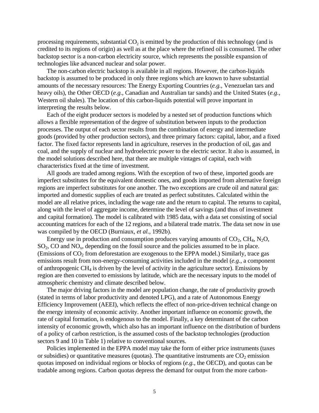processing requirements, substantial  $CO<sub>2</sub>$  is emitted by the production of this technology (and is credited to its regions of origin) as well as at the place where the refined oil is consumed. The other backstop sector is a non-carbon electricity source, which represents the possible expansion of technologies like advanced nuclear and solar power.

The non-carbon electric backstop is available in all regions. However, the carbon-liquids backstop is assumed to be produced in only three regions which are known to have substantial amounts of the necessary resources: The Energy Exporting Countries (*e.g.*, Venezuelan tars and heavy oils), the Other OECD (*e.g.*, Canadian and Australian tar sands) and the United States (*e.g.*, Western oil shales). The location of this carbon-liquids potential will prove important in interpreting the results below.

Each of the eight producer sectors is modeled by a nested set of production functions which allows a flexible representation of the degree of substitution between inputs to the production processes. The output of each sector results from the combination of energy and intermediate goods (provided by other production sectors), and three primary factors: capital, labor, and a fixed factor. The fixed factor represents land in agriculture, reserves in the production of oil, gas and coal, and the supply of nuclear and hydroelectric power to the electric sector. It also is assumed, in the model solutions described here, that there are multiple vintages of capital, each with characteristics fixed at the time of investment.

All goods are traded among regions. With the exception of two of these, imported goods are imperfect substitutes for the equivalent domestic ones, and goods imported from alternative foreign regions are imperfect substitutes for one another. The two exceptions are crude oil and natural gas: imported and domestic supplies of each are treated as perfect substitutes. Calculated within the model are all relative prices, including the wage rate and the return to capital. The returns to capital, along with the level of aggregate income, determine the level of savings (and thus of investment and capital formation). The model is calibrated with 1985 data, with a data set consisting of social accounting matrices for each of the 12 regions, and a bilateral trade matrix. The data set now in use was compiled by the OECD (Burniaux, *et al.*, 1992b).

Energy use in production and consumption produces varying amounts of  $CO_2$ ,  $CH_4$ ,  $N_2O$ ,  $SO_2$ , CO and  $NO_x$ , depending on the fossil source and the policies assumed to be in place. (Emissions of  $CO<sub>2</sub>$  from deforestation are exogenous to the EPPA model.) Similarly, trace gas emissions result from non-energy-consuming activities included in the model (*e.g.*, a component of anthropogenic  $CH<sub>4</sub>$  is driven by the level of activity in the agriculture sector). Emissions by region are then converted to emissions by latitude, which are the necessary inputs to the model of atmospheric chemistry and climate described below.

The major driving factors in the model are population change, the rate of productivity growth (stated in terms of labor productivity and denoted LPG), and a rate of Autonomous Energy Efficiency Improvement (AEEI), which reflects the effect of non-price-driven technical change on the energy intensity of economic activity. Another important influence on economic growth, the rate of capital formation, is endogenous to the model. Finally, a key determinant of the carbon intensity of economic growth, which also has an important influence on the distribution of burdens of a policy of carbon restriction, is the assumed costs of the backstop technologies (production sectors 9 and 10 in Table 1) relative to conventional sources.

Policies implemented in the EPPA model may take the form of either price instruments (taxes or subsidies) or quantitative measures (quotas). The quantitative instruments are  $CO<sub>2</sub>$  emission quotas imposed on individual regions or blocks of regions (*e.g.*, the OECD), and quotas can be tradable among regions. Carbon quotas depress the demand for output from the more carbon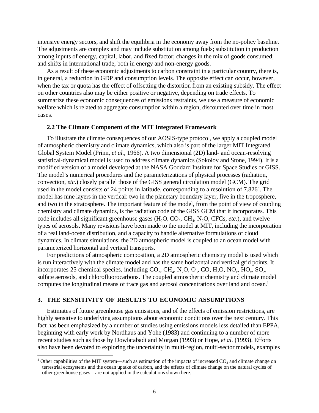intensive energy sectors, and shift the equilibria in the economy away from the no-policy baseline. The adjustments are complex and may include substitution among fuels; substitution in production among inputs of energy, capital, labor, and fixed factor; changes in the mix of goods consumed; and shifts in international trade, both in energy and non-energy goods.

As a result of these economic adjustments to carbon constraint in a particular country, there is, in general, a reduction in GDP and consumption levels. The opposite effect can occur, however, when the tax or quota has the effect of offsetting the distortion from an existing subsidy. The effect on other countries also may be either positive or negative, depending on trade effects. To summarize these economic consequences of emissions restraints, we use a measure of economic welfare which is related to aggregate consumption within a region, discounted over time in most cases.

### **2.2 The Climate Component of the MIT Integrated Framework**

To illustrate the climate consequences of our AOSIS-type protocol, we apply a coupled model of atmospheric chemistry and climate dynamics, which also is part of the larger MIT Integrated Global System Model (Prinn, *et al.*, 1966). A two dimensional (2D) land- and ocean-resolving statistical-dynamical model is used to address climate dynamics (Sokolov and Stone, 1994). It is a modified version of a model developed at the NASA Goddard Institute for Space Studies or GISS. The model's numerical procedures and the parameterizations of physical processes (radiation, convection, *etc*.) closely parallel those of the GISS general circulation model (GCM). The grid used in the model consists of 24 points in latitude, corresponding to a resolution of 7.826˚. The model has nine layers in the vertical: two in the planetary boundary layer, five in the troposphere, and two in the stratosphere. The important feature of the model, from the point of view of coupling chemistry and climate dynamics, is the radiation code of the GISS GCM that it incorporates. This code includes all significant greenhouse gases  $(H<sub>2</sub>O, CO<sub>2</sub>, CH<sub>4</sub>, N<sub>2</sub>O, CFCs, etc.),$  and twelve types of aerosols. Many revisions have been made to the model at MIT, including the incorporation of a real land-ocean distribution, and a capacity to handle alternative formulations of cloud dynamics. In climate simulations, the 2D atmospheric model is coupled to an ocean model with parameterized horizontal and vertical transports.

For predictions of atmospheric composition, a 2D atmospheric chemistry model is used which is run interactively with the climate model and has the same horizontal and vertical grid points. It incorporates 25 chemical species, including  $CO_2$ ,  $CH_4$ , N<sub>2</sub>O, O<sub>3</sub>, CO, H<sub>2</sub>O, NO<sub>x</sub>, HO<sub>x</sub>, SO<sub>2</sub>, sulfate aerosols, and chlorofluorocarbons. The coupled atmospheric chemistry and climate model computes the longitudinal means of trace gas and aerosol concentrations over land and ocean.4

# **3. THE SENSITIVITY OF RESULTS TO ECONOMIC ASSUMPTIONS**

<u>.</u>

Estimates of future greenhouse gas emissions, and of the effects of emission restrictions, are highly sensitive to underlying assumptions about economic conditions over the next century. This fact has been emphasized by a number of studies using emissions models less detailed than EPPA, beginning with early work by Nordhaus and Yohe (1983) and continuing to a number of more recent studies such as those by Dowlatabadi and Morgan (1993) or Hope, *et al.* (1993). Efforts also have been devoted to exploring the uncertainty in multi-region, multi-sector models, examples

<sup>&</sup>lt;sup>4</sup> Other capabilities of the MIT system—such as estimation of the impacts of increased  $CO_2$  and climate change on terrestrial ecosystems and the ocean uptake of carbon, and the effects of climate change on the natural cycles of other greenhouse gases—are not applied in the calculations shown here.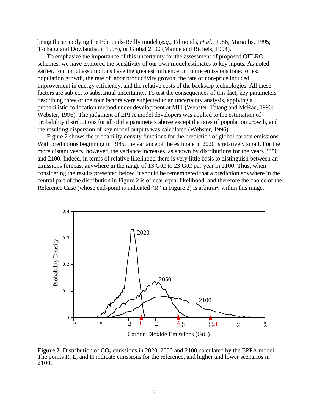being those applying the Edmonds-Reilly model (*e.g.*, Edmonds, *et al.*, 1986; Margolis, 1995; Tschang and Dowlatabadi, 1995), or Global 2100 (Manne and Richels, 1994).

To emphasize the importance of this uncertainty for the assessment of proposed QELRO schemes, we have explored the sensitivity of our own model estimates to key inputs. As noted earlier, four input assumptions have the greatest influence on future emissions trajectories: population growth, the rate of labor productivity growth, the rate of non-price induced improvement in energy efficiency, and the relative costs of the backstop technologies. All these factors are subject to substantial uncertainty. To test the consequences of this fact, key parameters describing three of the four factors were subjected to an uncertainty analysis, applying a probabilistic collocation method under development at MIT (Webster, Tatang and McRae, 1996; Webster, 1996). The judgment of EPPA model developers was applied to the estimation of probability distributions for all of the parameters above except the rates of population growth, and the resulting dispersion of key model outputs was calculated (Webster, 1996).

Figure 2 shows the probability density functions for the prediction of global carbon emissions. With predictions beginning in 1985, the variance of the estimate in 2020 is relatively small. For the more distant years, however, the variance increases, as shown by distributions for the years 2050 and 2100. Indeed, in terms of relative likelihood there is very little basis to distinguish between an emissions forecast anywhere in the range of 13 GtC to 23 GtC per year in 2100. Thus, when considering the results presented below, it should be remembered that a prediction anywhere in the central part of the distribution in Figure 2 is of near equal likelihood, and therefore the choice of the Reference Case (whose end-point is indicated "R" in Figure 2) is arbitrary within this range.



**Figure 2.** Distribution of CO<sub>2</sub> emissions in 2020, 2050 and 2100 calculated by the EPPA model. The points R, L, and H indicate emissions for the reference, and higher and lower scenarios in 2100.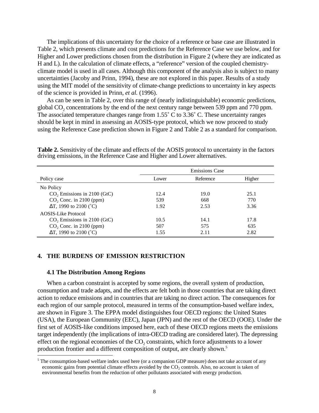The implications of this uncertainty for the choice of a reference or base case are illustrated in Table 2, which presents climate and cost predictions for the Reference Case we use below, and for Higher and Lower predictions chosen from the distribution in Figure 2 (where they are indicated as H and L). In the calculation of climate effects, a "reference" version of the coupled chemistryclimate model is used in all cases. Although this component of the analysis also is subject to many uncertainties (Jacoby and Prinn, 1994), these are not explored in this paper. Results of a study using the MIT model of the sensitivity of climate-change predictions to uncertainty in key aspects of the science is provided in Prinn, *et al.* (1996).

As can be seen in Table 2, over this range of (nearly indistinguishable) economic predictions, global CO<sub>2</sub> concentrations by the end of the next century range between 539 ppm and 770 ppm. The associated temperature changes range from 1.55° C to 3.36° C. These uncertainty ranges should be kept in mind in assessing an AOSIS-type protocol, which we now proceed to study using the Reference Case prediction shown in Figure 2 and Table 2 as a standard for comparison.

|                                | <b>Emissions Case</b> |           |        |  |
|--------------------------------|-----------------------|-----------|--------|--|
| Policy case                    | Lower                 | Reference | Higher |  |
| No Policy                      |                       |           |        |  |
| $CO2$ Emissions in 2100 (GtC)  | 12.4                  | 19.0      | 25.1   |  |
| $CO2$ Conc. in 2100 (ppm)      | 539                   | 668       | 770    |  |
| $\Delta T$ , 1990 to 2100 (°C) | 1.92                  | 2.53      | 3.36   |  |
| <b>AOSIS-Like Protocol</b>     |                       |           |        |  |
| $CO$ , Emissions in 2100 (GtC) | 10.5                  | 14.1      | 17.8   |  |
| $CO2$ , Conc. in 2100 (ppm)    | 507                   | 575       | 635    |  |
| $\Delta T$ , 1990 to 2100 (°C) | 1.55                  | 2.11      | 2.82   |  |

**Table 2.** Sensitivity of the climate and effects of the AOSIS protocol to uncertainty in the factors driving emissions, in the Reference Case and Higher and Lower alternatives.

# **4. THE BURDENS OF EMISSION RESTRICTION**

#### **4.1 The Distribution Among Regions**

 $\ddot{ }$ 

When a carbon constraint is accepted by some regions, the overall system of production, consumption and trade adapts, and the effects are felt both in those countries that are taking direct action to reduce emissions and in countries that are taking no direct action. The consequences for each region of our sample protocol, measured in terms of the consumption-based welfare index, are shown in Figure 3. The EPPA model distinguishes four OECD regions: the United States (USA), the European Community (EEC), Japan (JPN) and the rest of the OECD (OOE). Under the first set of AOSIS-like conditions imposed here, each of these OECD regions meets the emissions target independently (the implications of intra-OECD trading are considered later). The depressing effect on the regional economies of the  $CO<sub>2</sub>$  constraints, which force adjustments to a lower production frontier and a different composition of output, are clearly shown.<sup>5</sup>

<sup>&</sup>lt;sup>5</sup> The consumption-based welfare index used here (or a companion GDP measure) does not take account of any economic gains from potential climate effects avoided by the  $CO<sub>2</sub>$  controls. Also, no account is taken of environmental benefits from the reduction of other pollutants associated with energy production.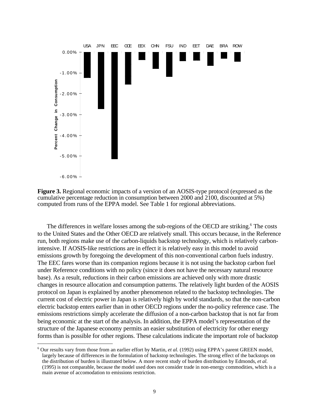



The differences in welfare losses among the sub-regions of the OECD are striking.<sup>6</sup> The costs to the United States and the Other OECD are relatively small. This occurs because, in the Reference run, both regions make use of the carbon-liquids backstop technology, which is relatively carbonintensive. If AOSIS-like restrictions are in effect it is relatively easy in this model to avoid emissions growth by foregoing the development of this non-conventional carbon fuels industry. The EEC fares worse than its companion regions because it is not using the backstop carbon fuel under Reference conditions with no policy (since it does not have the necessary natural resource base). As a result, reductions in their carbon emissions are achieved only with more drastic changes in resource allocation and consumption patterns. The relatively light burden of the AOSIS protocol on Japan is explained by another phenomenon related to the backstop technologies. The current cost of electric power in Japan is relatively high by world standards, so that the non-carbon electric backstop enters earlier than in other OECD regions under the no-policy reference case. The emissions restrictions simply accelerate the diffusion of a non-carbon backstop that is not far from being economic at the start of the analysis. In addition, the EPPA model's representation of the structure of the Japanese economy permits an easier substitution of electricity for other energy forms than is possible for other regions. These calculations indicate the important role of backstop

 $\overline{a}$ 

<sup>&</sup>lt;sup>6</sup> Our results vary from those from an earlier effort by Martin, *et al.* (1992) using EPPA's parent GREEN model, largely because of differences in the formulation of backstop technologies. The strong effect of the backstops on the distribution of burden is illustrated below. A more recent study of burden distribution by Edmonds, *et al.* (1995) is not comparable, because the model used does not consider trade in non-energy commodities, which is a main avenue of accomodation to emissions restriction.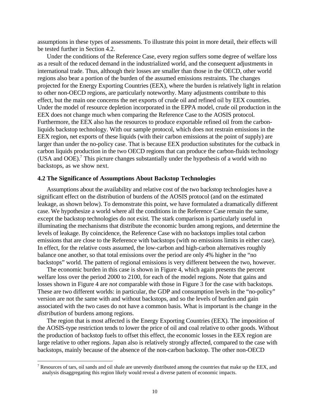assumptions in these types of assessments. To illustrate this point in more detail, their effects will be tested further in Section 4.2.

Under the conditions of the Reference Case, every region suffers some degree of welfare loss as a result of the reduced demand in the industrialized world, and the consequent adjustments in international trade. Thus, although their losses are smaller than those in the OECD, other world regions also bear a portion of the burden of the assumed emissions restraints. The changes projected for the Energy Exporting Countries (EEX), where the burden is relatively light in relation to other non-OECD regions, are particularly noteworthy. Many adjustments contribute to this effect, but the main one concerns the net exports of crude oil and refined oil by EEX countries. Under the model of resource depletion incorporated in the EPPA model, crude oil production in the EEX does not change much when comparing the Reference Case to the AOSIS protocol. Furthermore, the EEX also has the resources to produce exportable refined oil from the carbonliquids backstop technology. With our sample protocol, which does not restrain emissions in the EEX region, net exports of these liquids (with their carbon emissions at the point of supply) are larger than under the no-policy case. That is because EEX production substitutes for the cutback in carbon liquids production in the two OECD regions that can produce the carbon-fluids technology (USA and OOE).<sup>7</sup> This picture changes substantially under the hypothesis of a world with no backstops, as we show next.

### **4.2 The Significance of Assumptions About Backstop Technologies**

Assumptions about the availability and relative cost of the two backstop technologies have a significant effect on the distribution of burdens of the AOSIS protocol (and on the estimated leakage, as shown below). To demonstrate this point, we have formulated a dramatically different case. We hypothesize a world where all the conditions in the Reference Case remain the same, except the backstop technologies do not exist. The stark comparison is particularly useful in illuminating the mechanisms that distribute the economic burden among regions, and determine the levels of leakage. By coincidence, the Reference Case with no backstops implies total carbon emissions that are close to the Reference with backstops (with no emissions limits in either case). In effect, for the relative costs assumed, the low-carbon and high-carbon alternatives roughly balance one another, so that total emissions over the period are only 4% higher in the "no backstops" world. The pattern of regional emissions is very different between the two, however.

The economic burden in this case is shown in Figure 4, which again presents the percent welfare loss over the period 2000 to 2100, for each of the model regions. Note that gains and losses shown in Figure 4 are *not* comparable with those in Figure 3 for the case with backstops. These are two different worlds: in particular, the GDP and consumption levels in the "no-policy" version are not the same with and without backstops, and so the levels of burden and gain associated with the two cases do not have a common basis. What is important is the change in the *distribution* of burdens among regions.

The region that is most affected is the Energy Exporting Countries (EEX). The imposition of the AOSIS-type restriction tends to lower the price of oil and coal relative to other goods. Without the production of backstop fuels to offset this effect, the economic losses in the EEX region are large relative to other regions. Japan also is relatively strongly affected, compared to the case with backstops, mainly because of the absence of the non-carbon backstop. The other non-OECD

 $\overline{a}$ 

<sup>&</sup>lt;sup>7</sup> Resources of tars, oil sands and oil shale are unevenly distributed among the countries that make up the EEX, and analysis disaggregating this region likely would reveal a diverse pattern of economic impacts.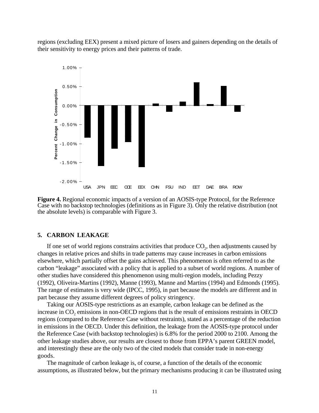regions (excluding EEX) present a mixed picture of losers and gainers depending on the details of their sensitivity to energy prices and their patterns of trade.



**Figure 4.** Regional economic impacts of a version of an AOSIS-type Protocol, for the Reference Case with no backstop technologies (definitions as in Figure 3). Only the relative distribution (not the absolute levels) is comparable with Figure 3.

### **5. CARBON LEAKAGE**

If one set of world regions constrains activities that produce  $CO<sub>2</sub>$ , then adjustments caused by changes in relative prices and shifts in trade patterns may cause increases in carbon emissions elsewhere, which partially offset the gains achieved. This phenomenon is often referred to as the carbon "leakage" associated with a policy that is applied to a subset of world regions. A number of other studies have considered this phenomenon using multi-region models, including Pezzy (1992), Oliveira-Martins (1992), Manne (1993), Manne and Martins (1994) and Edmonds (1995). The range of estimates is very wide (IPCC, 1995), in part because the models are different and in part because they assume different degrees of policy stringency.

Taking our AOSIS-type restrictions as an example, carbon leakage can be defined as the increase in  $CO<sub>2</sub>$  emissions in non-OECD regions that is the result of emissions restraints in OECD regions (compared to the Reference Case without restraints), stated as a percentage of the reduction in emissions in the OECD. Under this definition, the leakage from the AOSIS-type protocol under the Reference Case (with backstop technologies) is 6.8% for the period 2000 to 2100. Among the other leakage studies above, our results are closest to those from EPPA's parent GREEN model, and interestingly these are the only two of the cited models that consider trade in non-energy goods.

The magnitude of carbon leakage is, of course, a function of the details of the economic assumptions, as illustrated below, but the primary mechanisms producing it can be illustrated using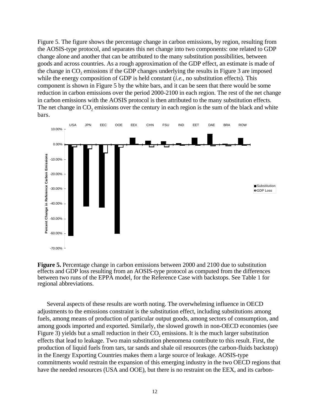Figure 5. The figure shows the percentage change in carbon emissions, by region, resulting from the AOSIS-type protocol, and separates this net change into two components: one related to GDP change alone and another that can be attributed to the many substitution possibilities, between goods and across countries. As a rough approximation of the GDP effect, an estimate is made of the change in CO<sub>2</sub> emissions if the GDP changes underlying the results in Figure 3 are imposed while the energy composition of GDP is held constant (*i.e.*, no substitution effects). This component is shown in Figure 5 by the white bars, and it can be seen that there would be some reduction in carbon emissions over the period 2000-2100 in each region. The rest of the net change in carbon emissions with the AOSIS protocol is then attributed to the many substitution effects. The net change in  $CO<sub>2</sub>$  emissions over the century in each region is the sum of the black and white bars.





Several aspects of these results are worth noting. The overwhelming influence in OECD adjustments to the emissions constraint is the substitution effect, including substitutions among fuels, among means of production of particular output goods, among sectors of consumption, and among goods imported and exported. Similarly, the slowed growth in non-OECD economies (see Figure 3) yields but a small reduction in their  $CO<sub>2</sub>$  emissions. It is the much larger substitution effects that lead to leakage. Two main substitution phenomena contribute to this result. First, the production of liquid fuels from tars, tar sands and shale oil resources (the carbon-fluids backstop) in the Energy Exporting Countries makes them a large source of leakage. AOSIS-type commitments would restrain the expansion of this emerging industry in the two OECD regions that have the needed resources (USA and OOE), but there is no restraint on the EEX, and its carbon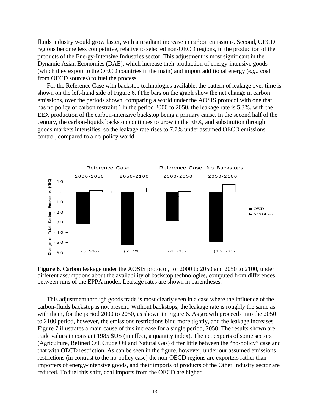fluids industry would grow faster, with a resultant increase in carbon emissions. Second, OECD regions become less competitive, relative to selected non-OECD regions, in the production of the products of the Energy-Intensive Industries sector. This adjustment is most significant in the Dynamic Asian Economies (DAE), which increase their production of energy-intensive goods (which they export to the OECD countries in the main) and import additional energy (*e.g.*, coal from OECD sources) to fuel the process.

For the Reference Case with backstop technologies available, the pattern of leakage over time is shown on the left-hand side of Figure 6. (The bars on the graph show the net change in carbon emissions, over the periods shown, comparing a world under the AOSIS protocol with one that has no policy of carbon restraint.) In the period 2000 to 2050, the leakage rate is 5.3%, with the EEX production of the carbon-intensive backstop being a primary cause. In the second half of the century, the carbon-liquids backstop continues to grow in the EEX, and substitution through goods markets intensifies, so the leakage rate rises to 7.7% under assumed OECD emissions control, compared to a no-policy world.



**Figure 6.** Carbon leakage under the AOSIS protocol, for 2000 to 2050 and 2050 to 2100, under different assumptions about the availability of backstop technologies, computed from differences between runs of the EPPA model. Leakage rates are shown in parentheses.

This adjustment through goods trade is most clearly seen in a case where the influence of the carbon-fluids backstop is not present. Without backstops, the leakage rate is roughly the same as with them, for the period 2000 to 2050, as shown in Figure 6. As growth proceeds into the 2050 to 2100 period, however, the emissions restrictions bind more tightly, and the leakage increases. Figure 7 illustrates a main cause of this increase for a single period, 2050. The results shown are trade values in constant 1985 \$US (in effect, a quantity index). The net exports of some sectors (Agriculture, Refined Oil, Crude Oil and Natural Gas) differ little between the "no-policy" case and that with OECD restriction. As can be seen in the figure, however, under our assumed emissions restrictions (in contrast to the no-policy case) the non-OECD regions are exporters rather than importers of energy-intensive goods, and their imports of products of the Other Industry sector are reduced. To fuel this shift, coal imports from the OECD are higher.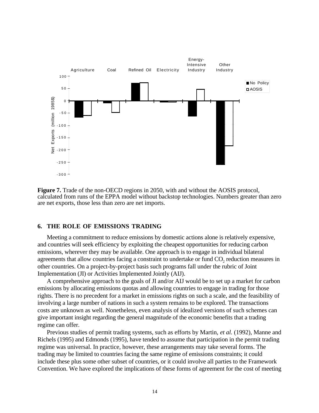

**Figure 7.** Trade of the non-OECD regions in 2050, with and without the AOSIS protocol, calculated from runs of the EPPA model without backstop technologies. Numbers greater than zero are net exports, those less than zero are net imports.

# **6. THE ROLE OF EMISSIONS TRADING**

Meeting a commitment to reduce emissions by domestic actions alone is relatively expensive, and countries will seek efficiency by exploiting the cheapest opportunities for reducing carbon emissions, wherever they may be available. One approach is to engage in individual bilateral agreements that allow countries facing a constraint to undertake or fund CO<sub>2</sub> reduction measures in other countries. On a project-by-project basis such programs fall under the rubric of Joint Implementation (JI) or Activities Implemented Jointly (AIJ).

A comprehensive approach to the goals of JI and/or AIJ would be to set up a market for carbon emissions by allocating emissions quotas and allowing countries to engage in trading for those rights. There is no precedent for a market in emissions rights on such a scale, and the feasibility of involving a large number of nations in such a system remains to be explored. The transactions costs are unknown as well. Nonetheless, even analysis of idealized versions of such schemes can give important insight regarding the general magnitude of the economic benefits that a trading regime can offer.

Previous studies of permit trading systems, such as efforts by Martin, *et al.* (1992), Manne and Richels (1995) and Edmonds (1995), have tended to assume that participation in the permit trading regime was universal. In practice, however, these arrangements may take several forms. The trading may be limited to countries facing the same regime of emissions constraints; it could include these plus some other subset of countries, or it could involve all parties to the Framework Convention. We have explored the implications of these forms of agreement for the cost of meeting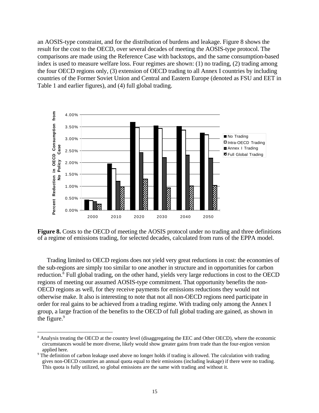an AOSIS-type constraint, and for the distribution of burdens and leakage. Figure 8 shows the result for the cost to the OECD, over several decades of meeting the AOSIS-type protocol. The comparisons are made using the Reference Case with backstops, and the same consumption-based index is used to measure welfare loss. Four regimes are shown: (1) no trading, (2) trading among the four OECD regions only, (3) extension of OECD trading to all Annex I countries by including countries of the Former Soviet Union and Central and Eastern Europe (denoted as FSU and EET in Table 1 and earlier figures), and (4) full global trading.



**Figure 8.** Costs to the OECD of meeting the AOSIS protocol under no trading and three definitions of a regime of emissions trading, for selected decades, calculated from runs of the EPPA model.

Trading limited to OECD regions does not yield very great reductions in cost: the economies of the sub-regions are simply too similar to one another in structure and in opportunities for carbon reduction.8 Full global trading, on the other hand, yields very large reductions in cost to the OECD regions of meeting our assumed AOSIS-type commitment. That opportunity benefits the non-OECD regions as well, for they receive payments for emissions reductions they would not otherwise make. It also is interesting to note that not all non-OECD regions need participate in order for real gains to be achieved from a trading regime. With trading only among the Annex I group, a large fraction of the benefits to the OECD of full global trading are gained, as shown in the figure.<sup>9</sup>

 $\overline{a}$ 

<sup>&</sup>lt;sup>8</sup> Analysis treating the OECD at the country level (disaggregating the EEC and Other OECD), where the economic circumstances would be more diverse, likely would show greater gains from trade than the four-region version applied here.

<sup>&</sup>lt;sup>9</sup> The definition of carbon leakage used above no longer holds if trading is allowed. The calculation with trading gives non-OECD countries an annual quota equal to their emissions (including leakage) if there were no trading. This quota is fully utilized, so global emissions are the same with trading and without it.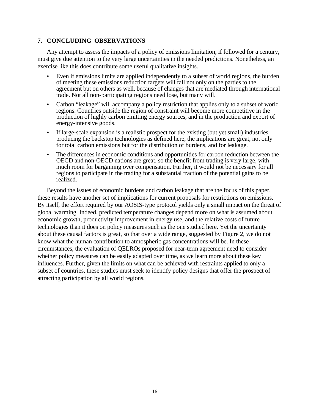# **7. CONCLUDING OBSERVATIONS**

Any attempt to assess the impacts of a policy of emissions limitation, if followed for a century, must give due attention to the very large uncertainties in the needed predictions. Nonetheless, an exercise like this does contribute some useful qualitative insights.

- Even if emissions limits are applied independently to a subset of world regions, the burden of meeting these emissions reduction targets will fall not only on the parties to the agreement but on others as well, because of changes that are mediated through international trade. Not all non-participating regions need lose, but many will.
- Carbon "leakage" will accompany a policy restriction that applies only to a subset of world regions. Countries outside the region of constraint will become more competitive in the production of highly carbon emitting energy sources, and in the production and export of energy-intensive goods.
- If large-scale expansion is a realistic prospect for the existing (but yet small) industries producing the backstop technologies as defined here, the implications are great, not only for total carbon emissions but for the distribution of burdens, and for leakage.
- The differences in economic conditions and opportunities for carbon reduction between the OECD and non-OECD nations are great, so the benefit from trading is very large, with much room for bargaining over compensation. Further, it would not be necessary for all regions to participate in the trading for a substantial fraction of the potential gains to be realized.

Beyond the issues of economic burdens and carbon leakage that are the focus of this paper, these results have another set of implications for current proposals for restrictions on emissions. By itself, the effort required by our AOSIS-type protocol yields only a small impact on the threat of global warming. Indeed, predicted temperature changes depend more on what is assumed about economic growth, productivity improvement in energy use, and the relative costs of future technologies than it does on policy measures such as the one studied here. Yet the uncertainty about these causal factors is great, so that over a wide range, suggested by Figure 2, we do not know what the human contribution to atmospheric gas concentrations will be. In these circumstances, the evaluation of QELROs proposed for near-term agreement need to consider whether policy measures can be easily adapted over time, as we learn more about these key influences. Further, given the limits on what can be achieved with restraints applied to only a subset of countries, these studies must seek to identify policy designs that offer the prospect of attracting participation by all world regions.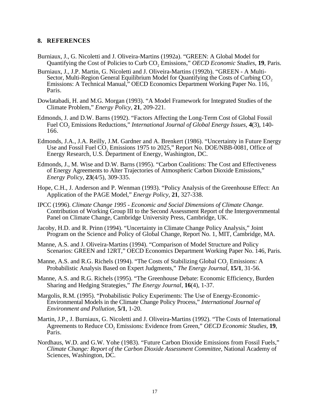# **8. REFERENCES**

- Burniaux, J., G. Nicoletti and J. Oliveira-Martins (1992a). "GREEN: A Global Model for Quantifying the Cost of Policies to Curb CO<sub>2</sub> Emissions," *OECD Economic Studies*, 19, Paris.
- Burniaux, J., J.P. Martin, G. Nicoletti and J. Oliveira-Martins (1992b). "GREEN A Multi-Sector, Multi-Region General Equilibrium Model for Quantifying the Costs of Curbing CO<sub>2</sub> Emissions: A Technical Manual," OECD Economics Department Working Paper No. 116, Paris.
- Dowlatabadi, H. and M.G. Morgan (1993). "A Model Framework for Integrated Studies of the Climate Problem," *Energy Policy,* **21**, 209-221.
- Edmonds, J. and D.W. Barns (1992). "Factors Affecting the Long-Term Cost of Global Fossil Fuel CO<sub>2</sub> Emissions Reductions," *International Journal of Global Energy Issues*, 4(3), 140-166.
- Edmonds, J.A., J.A. Reilly, J.M. Gardner and A. Brenkert (1986). "Uncertainty in Future Energy Use and Fossil Fuel CO<sub>2</sub> Emissions 1975 to 2025," Report No. DOE/NBB-0081, Office of Energy Research, U.S. Department of Energy, Washington, DC.
- Edmonds, J., M. Wise and D.W. Barns (1995). "Carbon Coalitions: The Cost and Effectiveness of Energy Agreements to Alter Trajectories of Atmospheric Carbon Dioxide Emissions," *Energy Policy*, **23**(4/5), 309-335.
- Hope, C.H., J. Anderson and P. Wenman (1993). "Policy Analysis of the Greenhouse Effect: An Application of the PAGE Model," *Energy Policy,* **21**, 327-338.
- IPCC (1996). *Climate Change 1995 Economic and Social Dimensions of Climate Change*. Contribution of Working Group III to the Second Assessment Report of the Intergovernmental Panel on Climate Change, Cambridge University Press, Cambridge, UK.
- Jacoby, H.D. and R. Prinn (1994). "Uncertainty in Climate Change Policy Analysis," Joint Program on the Science and Policy of Global Change, Report No. 1, MIT, Cambridge, MA.
- Manne, A.S. and J. Oliveira-Martins (1994). "Comparison of Model Structure and Policy Scenarios: GREEN and 12RT," OECD Economics Department Working Paper No. 146, Paris.
- Manne, A.S. and R.G. Richels (1994). "The Costs of Stabilizing Global CO<sub>2</sub> Emissions: A Probabilistic Analysis Based on Expert Judgments," *The Energy Journal,* **15/1**, 31-56.
- Manne, A.S. and R.G. Richels (1995). "The Greenhouse Debate: Economic Efficiency, Burden Sharing and Hedging Strategies," *The Energy Journal*, **16**(4), 1-37.
- Margolis, R.M. (1995). "Probabilistic Policy Experiments: The Use of Energy-Economic-Environmental Models in the Climate Change Policy Process," *International Journal of Environment and Pollution,* **5/1**, 1-20.
- Martin, J.P., J. Burniaux, G. Nicoletti and J. Oliveira-Martins (1992). "The Costs of International Agreements to Reduce CO<sub>2</sub> Emissions: Evidence from Green," *OECD Economic Studies*, **19**, Paris.
- Nordhaus, W.D. and G.W. Yohe (1983). "Future Carbon Dioxide Emissions from Fossil Fuels," *Climate Change: Report of the Carbon Dioxide Assessment Committee*, National Academy of Sciences, Washington, DC.